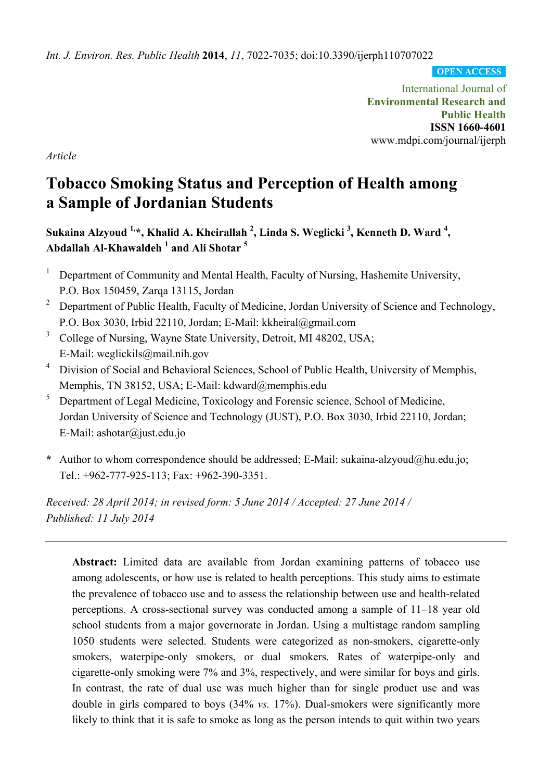*Int. J. Environ. Res. Public Health* **2014**, *11*, 7022-7035; doi:10.3390/ijerph110707022

**OPEN ACCESS**

International Journal of **Environmental Research and Public Health ISSN 1660-4601**  www.mdpi.com/journal/ijerph

*Article* 

# **Tobacco Smoking Status and Perception of Health among a Sample of Jordanian Students**

Sukaina Alzyoud <sup>1,</sup>\*, Khalid A. Kheirallah <sup>2</sup>, Linda S. Weglicki <sup>3</sup>, Kenneth D. Ward <sup>4</sup>, **Abdallah Al-Khawaldeh <sup>1</sup> and Ali Shotar 5**

- <sup>1</sup> Department of Community and Mental Health, Faculty of Nursing, Hashemite University, P.O. Box 150459, Zarqa 13115, Jordan
- <sup>2</sup> Department of Public Health, Faculty of Medicine, Jordan University of Science and Technology, P.O. Box 3030, Irbid 22110, Jordan; E-Mail: kkheiral@gmail.com
- <sup>3</sup> College of Nursing, Wayne State University, Detroit, MI 48202, USA; E-Mail: weglickils@mail.nih.gov
- 4 Division of Social and Behavioral Sciences, School of Public Health, University of Memphis, Memphis, TN 38152, USA; E-Mail: kdward@memphis.edu
- 5 Department of Legal Medicine, Toxicology and Forensic science, School of Medicine, Jordan University of Science and Technology (JUST), P.O. Box 3030, Irbid 22110, Jordan; E-Mail: ashotar@just.edu.jo
- **\*** Author to whom correspondence should be addressed; E-Mail: sukaina-alzyoud@hu.edu.jo; Tel.: +962-777-925-113; Fax: +962-390-3351.

*Received: 28 April 2014; in revised form: 5 June 2014 / Accepted: 27 June 2014 / Published: 11 July 2014* 

**Abstract:** Limited data are available from Jordan examining patterns of tobacco use among adolescents, or how use is related to health perceptions. This study aims to estimate the prevalence of tobacco use and to assess the relationship between use and health-related perceptions. A cross-sectional survey was conducted among a sample of 11–18 year old school students from a major governorate in Jordan. Using a multistage random sampling 1050 students were selected. Students were categorized as non-smokers, cigarette-only smokers, waterpipe-only smokers, or dual smokers. Rates of waterpipe-only and cigarette-only smoking were 7% and 3%, respectively, and were similar for boys and girls. In contrast, the rate of dual use was much higher than for single product use and was double in girls compared to boys (34% *vs.* 17%). Dual-smokers were significantly more likely to think that it is safe to smoke as long as the person intends to quit within two years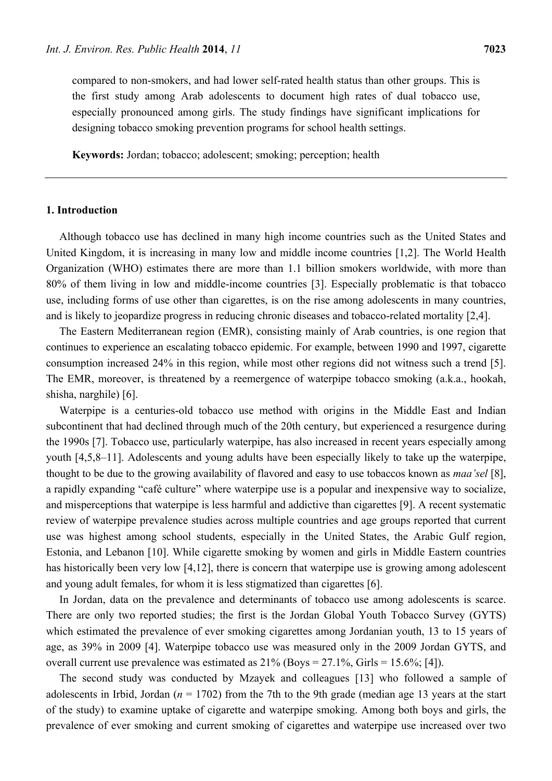compared to non-smokers, and had lower self-rated health status than other groups. This is the first study among Arab adolescents to document high rates of dual tobacco use, especially pronounced among girls. The study findings have significant implications for designing tobacco smoking prevention programs for school health settings.

**Keywords:** Jordan; tobacco; adolescent; smoking; perception; health

# **1. Introduction**

Although tobacco use has declined in many high income countries such as the United States and United Kingdom, it is increasing in many low and middle income countries [1,2]. The World Health Organization (WHO) estimates there are more than 1.1 billion smokers worldwide, with more than 80% of them living in low and middle-income countries [3]. Especially problematic is that tobacco use, including forms of use other than cigarettes, is on the rise among adolescents in many countries, and is likely to jeopardize progress in reducing chronic diseases and tobacco-related mortality [2,4].

The Eastern Mediterranean region (EMR), consisting mainly of Arab countries, is one region that continues to experience an escalating tobacco epidemic. For example, between 1990 and 1997, cigarette consumption increased 24% in this region, while most other regions did not witness such a trend [5]. The EMR, moreover, is threatened by a reemergence of waterpipe tobacco smoking (a.k.a., hookah, shisha, narghile) [6].

Waterpipe is a centuries-old tobacco use method with origins in the Middle East and Indian subcontinent that had declined through much of the 20th century, but experienced a resurgence during the 1990s [7]. Tobacco use, particularly waterpipe, has also increased in recent years especially among youth [4,5,8–11]. Adolescents and young adults have been especially likely to take up the waterpipe, thought to be due to the growing availability of flavored and easy to use tobaccos known as *maa'sel* [8], a rapidly expanding "café culture" where waterpipe use is a popular and inexpensive way to socialize, and misperceptions that waterpipe is less harmful and addictive than cigarettes [9]. A recent systematic review of waterpipe prevalence studies across multiple countries and age groups reported that current use was highest among school students, especially in the United States, the Arabic Gulf region, Estonia, and Lebanon [10]. While cigarette smoking by women and girls in Middle Eastern countries has historically been very low [4,12], there is concern that waterpipe use is growing among adolescent and young adult females, for whom it is less stigmatized than cigarettes [6].

In Jordan, data on the prevalence and determinants of tobacco use among adolescents is scarce. There are only two reported studies; the first is the Jordan Global Youth Tobacco Survey (GYTS) which estimated the prevalence of ever smoking cigarettes among Jordanian youth, 13 to 15 years of age, as 39% in 2009 [4]. Waterpipe tobacco use was measured only in the 2009 Jordan GYTS, and overall current use prevalence was estimated as  $21\%$  (Boys =  $27.1\%$ , Girls =  $15.6\%$ ; [4]).

The second study was conducted by Mzayek and colleagues [13] who followed a sample of adolescents in Irbid, Jordan ( $n = 1702$ ) from the 7th to the 9th grade (median age 13 years at the start of the study) to examine uptake of cigarette and waterpipe smoking. Among both boys and girls, the prevalence of ever smoking and current smoking of cigarettes and waterpipe use increased over two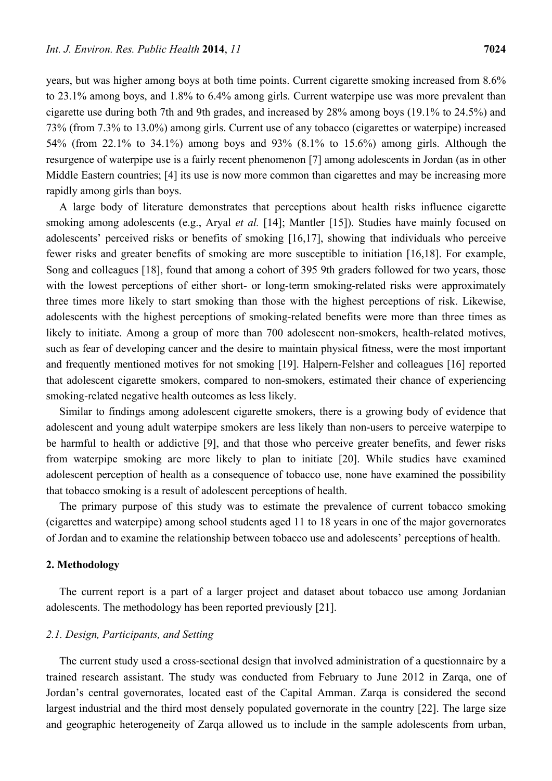years, but was higher among boys at both time points. Current cigarette smoking increased from 8.6% to 23.1% among boys, and 1.8% to 6.4% among girls. Current waterpipe use was more prevalent than cigarette use during both 7th and 9th grades, and increased by 28% among boys (19.1% to 24.5%) and 73% (from 7.3% to 13.0%) among girls. Current use of any tobacco (cigarettes or waterpipe) increased 54% (from 22.1% to 34.1%) among boys and 93% (8.1% to 15.6%) among girls. Although the resurgence of waterpipe use is a fairly recent phenomenon [7] among adolescents in Jordan (as in other Middle Eastern countries; [4] its use is now more common than cigarettes and may be increasing more rapidly among girls than boys.

A large body of literature demonstrates that perceptions about health risks influence cigarette smoking among adolescents (e.g., Aryal *et al.* [14]; Mantler [15]). Studies have mainly focused on adolescents' perceived risks or benefits of smoking [16,17], showing that individuals who perceive fewer risks and greater benefits of smoking are more susceptible to initiation [16,18]. For example, Song and colleagues [18], found that among a cohort of 395 9th graders followed for two years, those with the lowest perceptions of either short- or long-term smoking-related risks were approximately three times more likely to start smoking than those with the highest perceptions of risk. Likewise, adolescents with the highest perceptions of smoking-related benefits were more than three times as likely to initiate. Among a group of more than 700 adolescent non-smokers, health-related motives, such as fear of developing cancer and the desire to maintain physical fitness, were the most important and frequently mentioned motives for not smoking [19]. Halpern-Felsher and colleagues [16] reported that adolescent cigarette smokers, compared to non-smokers, estimated their chance of experiencing smoking-related negative health outcomes as less likely.

Similar to findings among adolescent cigarette smokers, there is a growing body of evidence that adolescent and young adult waterpipe smokers are less likely than non-users to perceive waterpipe to be harmful to health or addictive [9], and that those who perceive greater benefits, and fewer risks from waterpipe smoking are more likely to plan to initiate [20]. While studies have examined adolescent perception of health as a consequence of tobacco use, none have examined the possibility that tobacco smoking is a result of adolescent perceptions of health.

The primary purpose of this study was to estimate the prevalence of current tobacco smoking (cigarettes and waterpipe) among school students aged 11 to 18 years in one of the major governorates of Jordan and to examine the relationship between tobacco use and adolescents' perceptions of health.

#### **2. Methodology**

The current report is a part of a larger project and dataset about tobacco use among Jordanian adolescents. The methodology has been reported previously [21].

#### *2.1. Design, Participants, and Setting*

The current study used a cross-sectional design that involved administration of a questionnaire by a trained research assistant. The study was conducted from February to June 2012 in Zarqa, one of Jordan's central governorates, located east of the Capital Amman. Zarqa is considered the second largest industrial and the third most densely populated governorate in the country [22]. The large size and geographic heterogeneity of Zarqa allowed us to include in the sample adolescents from urban,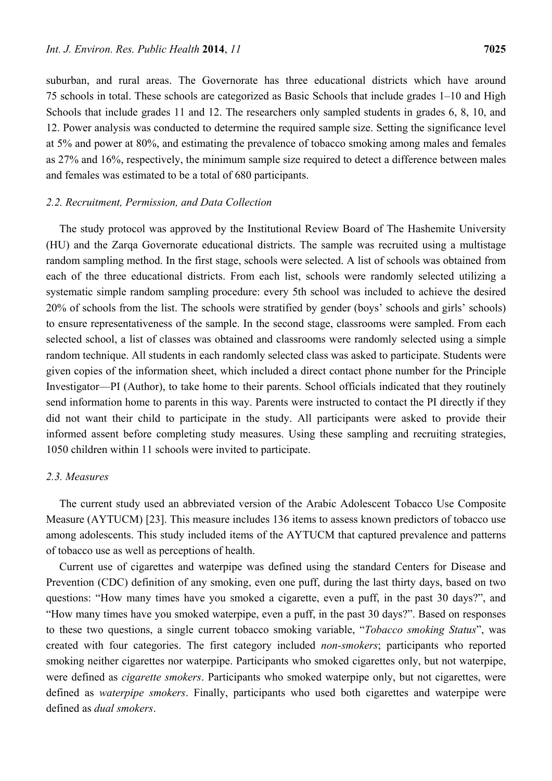suburban, and rural areas. The Governorate has three educational districts which have around 75 schools in total. These schools are categorized as Basic Schools that include grades 1–10 and High Schools that include grades 11 and 12. The researchers only sampled students in grades 6, 8, 10, and 12. Power analysis was conducted to determine the required sample size. Setting the significance level at 5% and power at 80%, and estimating the prevalence of tobacco smoking among males and females as 27% and 16%, respectively, the minimum sample size required to detect a difference between males and females was estimated to be a total of 680 participants.

## *2.2. Recruitment, Permission, and Data Collection*

The study protocol was approved by the Institutional Review Board of The Hashemite University (HU) and the Zarqa Governorate educational districts. The sample was recruited using a multistage random sampling method. In the first stage, schools were selected. A list of schools was obtained from each of the three educational districts. From each list, schools were randomly selected utilizing a systematic simple random sampling procedure: every 5th school was included to achieve the desired 20% of schools from the list. The schools were stratified by gender (boys' schools and girls' schools) to ensure representativeness of the sample. In the second stage, classrooms were sampled. From each selected school, a list of classes was obtained and classrooms were randomly selected using a simple random technique. All students in each randomly selected class was asked to participate. Students were given copies of the information sheet, which included a direct contact phone number for the Principle Investigator—PI (Author), to take home to their parents. School officials indicated that they routinely send information home to parents in this way. Parents were instructed to contact the PI directly if they did not want their child to participate in the study. All participants were asked to provide their informed assent before completing study measures. Using these sampling and recruiting strategies, 1050 children within 11 schools were invited to participate.

## *2.3. Measures*

The current study used an abbreviated version of the Arabic Adolescent Tobacco Use Composite Measure (AYTUCM) [23]. This measure includes 136 items to assess known predictors of tobacco use among adolescents. This study included items of the AYTUCM that captured prevalence and patterns of tobacco use as well as perceptions of health.

Current use of cigarettes and waterpipe was defined using the standard Centers for Disease and Prevention (CDC) definition of any smoking, even one puff, during the last thirty days, based on two questions: "How many times have you smoked a cigarette, even a puff, in the past 30 days?", and "How many times have you smoked waterpipe, even a puff, in the past 30 days?". Based on responses to these two questions, a single current tobacco smoking variable, "*Tobacco smoking Status*", was created with four categories. The first category included *non-smokers*; participants who reported smoking neither cigarettes nor waterpipe. Participants who smoked cigarettes only, but not waterpipe, were defined as *cigarette smokers*. Participants who smoked waterpipe only, but not cigarettes, were defined as *waterpipe smokers*. Finally, participants who used both cigarettes and waterpipe were defined as *dual smokers*.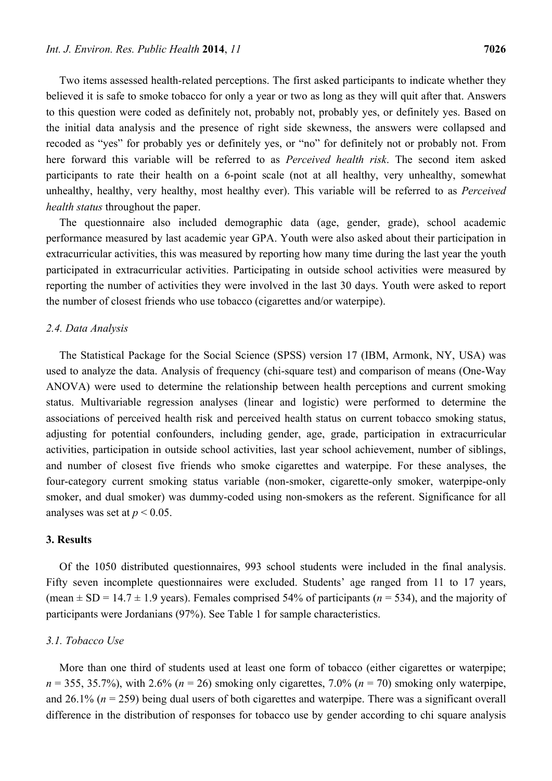Two items assessed health-related perceptions. The first asked participants to indicate whether they believed it is safe to smoke tobacco for only a year or two as long as they will quit after that. Answers to this question were coded as definitely not, probably not, probably yes, or definitely yes. Based on the initial data analysis and the presence of right side skewness, the answers were collapsed and recoded as "yes" for probably yes or definitely yes, or "no" for definitely not or probably not. From here forward this variable will be referred to as *Perceived health risk*. The second item asked participants to rate their health on a 6-point scale (not at all healthy, very unhealthy, somewhat unhealthy, healthy, very healthy, most healthy ever). This variable will be referred to as *Perceived health status* throughout the paper.

The questionnaire also included demographic data (age, gender, grade), school academic performance measured by last academic year GPA. Youth were also asked about their participation in extracurricular activities, this was measured by reporting how many time during the last year the youth participated in extracurricular activities. Participating in outside school activities were measured by reporting the number of activities they were involved in the last 30 days. Youth were asked to report the number of closest friends who use tobacco (cigarettes and/or waterpipe).

#### *2.4. Data Analysis*

The Statistical Package for the Social Science (SPSS) version 17 (IBM, Armonk, NY, USA) was used to analyze the data. Analysis of frequency (chi-square test) and comparison of means (One-Way ANOVA) were used to determine the relationship between health perceptions and current smoking status. Multivariable regression analyses (linear and logistic) were performed to determine the associations of perceived health risk and perceived health status on current tobacco smoking status, adjusting for potential confounders, including gender, age, grade, participation in extracurricular activities, participation in outside school activities, last year school achievement, number of siblings, and number of closest five friends who smoke cigarettes and waterpipe. For these analyses, the four-category current smoking status variable (non-smoker, cigarette-only smoker, waterpipe-only smoker, and dual smoker) was dummy-coded using non-smokers as the referent. Significance for all analyses was set at  $p < 0.05$ .

#### **3. Results**

Of the 1050 distributed questionnaires, 993 school students were included in the final analysis. Fifty seven incomplete questionnaires were excluded. Students' age ranged from 11 to 17 years, (mean  $\pm$  SD = 14.7  $\pm$  1.9 years). Females comprised 54% of participants ( $n = 534$ ), and the majority of participants were Jordanians (97%). See Table 1 for sample characteristics.

## *3.1. Tobacco Use*

More than one third of students used at least one form of tobacco (either cigarettes or waterpipe;  $n = 355, 35.7\%$ , with 2.6% ( $n = 26$ ) smoking only cigarettes, 7.0% ( $n = 70$ ) smoking only waterpipe, and 26.1% (*n* = 259) being dual users of both cigarettes and waterpipe. There was a significant overall difference in the distribution of responses for tobacco use by gender according to chi square analysis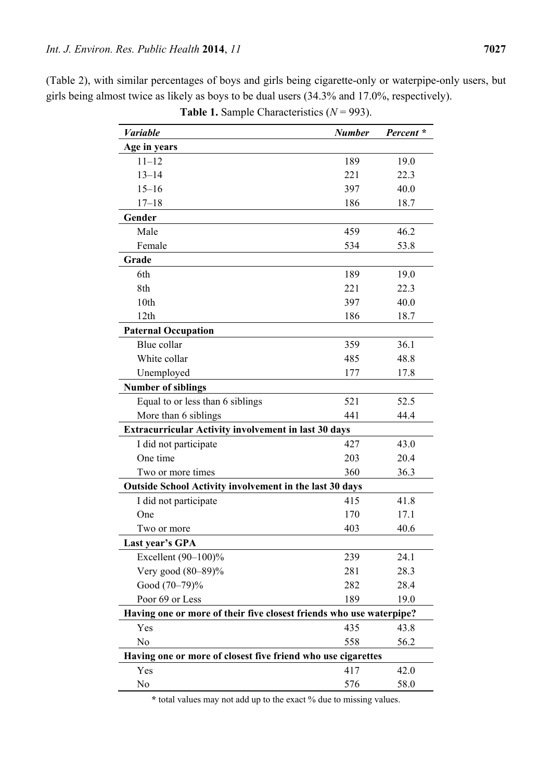| Variable                                                            | <b>Number</b> | Percent * |
|---------------------------------------------------------------------|---------------|-----------|
| Age in years                                                        |               |           |
| $11 - 12$                                                           | 189           | 19.0      |
| $13 - 14$                                                           | 221           | 22.3      |
| $15 - 16$                                                           | 397           | 40.0      |
| $17 - 18$                                                           | 186           | 18.7      |
| Gender                                                              |               |           |
| Male                                                                | 459           | 46.2      |
| Female                                                              | 534           | 53.8      |
| Grade                                                               |               |           |
| 6th                                                                 | 189           | 19.0      |
| 8th                                                                 | 221           | 22.3      |
| 10th                                                                | 397           | 40.0      |
| 12 <sub>th</sub>                                                    | 186           | 18.7      |
| <b>Paternal Occupation</b>                                          |               |           |
| Blue collar                                                         | 359           | 36.1      |
| White collar                                                        | 485           | 48.8      |
| Unemployed                                                          | 177           | 17.8      |
| <b>Number of siblings</b>                                           |               |           |
| Equal to or less than 6 siblings                                    | 521           | 52.5      |
| More than 6 siblings                                                | 441           | 44.4      |
| <b>Extracurricular Activity involvement in last 30 days</b>         |               |           |
| I did not participate                                               | 427           | 43.0      |
| One time                                                            | 203           | 20.4      |
| Two or more times                                                   | 360           | 36.3      |
| <b>Outside School Activity involvement in the last 30 days</b>      |               |           |
| I did not participate                                               | 415           | 41.8      |
| One                                                                 | 170           | 17.1      |
| Two or more                                                         | 403           | 40.6      |
| Last year's GPA                                                     |               |           |
| Excellent $(90-100)%$                                               | 239           | 24.1      |
| Very good $(80-89)\%$                                               | 281           | 28.3      |
| Good (70-79)%                                                       | 282           | 28.4      |
| Poor 69 or Less                                                     | 189           | 19.0      |
| Having one or more of their five closest friends who use waterpipe? |               |           |
| Yes                                                                 | 435           | 43.8      |
| No                                                                  | 558           | 56.2      |
| Having one or more of closest five friend who use cigarettes        |               |           |
| Yes                                                                 | 417           | 42.0      |
| N <sub>0</sub>                                                      | 576           | 58.0      |

(Table 2), with similar percentages of boys and girls being cigarette-only or waterpipe-only users, but girls being almost twice as likely as boys to be dual users (34.3% and 17.0%, respectively).

**Table 1.** Sample Characteristics (*N* = 993).

**\*** total values may not add up to the exact % due to missing values.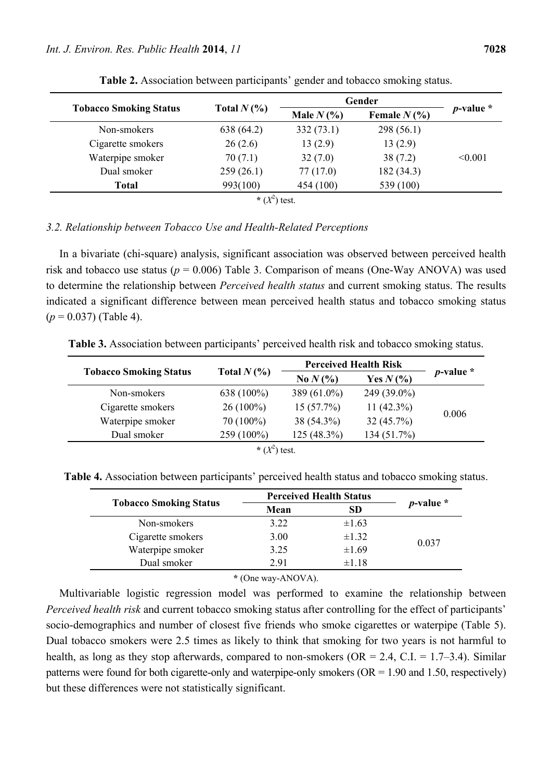| <b>Tobacco Smoking Status</b> | Total $N(\%)$ | Gender        |                |                |
|-------------------------------|---------------|---------------|----------------|----------------|
|                               |               | Male $N(\% )$ | Female $N(\%)$ | $p$ -value $*$ |
| Non-smokers                   | 638 (64.2)    | 332(73.1)     | 298(56.1)      |                |
| Cigarette smokers             | 26(2.6)       | 13(2.9)       | 13(2.9)        |                |
| Waterpipe smoker              | 70(7.1)       | 32(7.0)       | 38(7.2)        | < 0.001        |
| Dual smoker                   | 259(26.1)     | 77(17.0)      | 182 (34.3)     |                |
| <b>Total</b>                  | 993(100)      | 454 (100)     | 539 (100)      |                |
|                               | * $(X^2)$     | test.         |                |                |

**Table 2.** Association between participants' gender and tobacco smoking status.

## *3.2. Relationship between Tobacco Use and Health-Related Perceptions*

In a bivariate (chi-square) analysis, significant association was observed between perceived health risk and tobacco use status ( $p = 0.006$ ) Table 3. Comparison of means (One-Way ANOVA) was used to determine the relationship between *Perceived health status* and current smoking status. The results indicated a significant difference between mean perceived health status and tobacco smoking status  $(p = 0.037)$  (Table 4).

**Table 3.** Association between participants' perceived health risk and tobacco smoking status.

| <b>Tobacco Smoking Status</b> | Total $N(\%)$ | <b>Perceived Health Risk</b> |               |                |
|-------------------------------|---------------|------------------------------|---------------|----------------|
|                               |               | No $N(\% )$                  | Yes $N(\% )$  | $p$ -value $*$ |
| Non-smokers                   | 638 (100%)    | 389 $(61.0\%)$               | 249 (39.0%)   |                |
| Cigarette smokers             | $26(100\%)$   | 15(57.7%)                    | 11 $(42.3\%)$ |                |
| Waterpipe smoker              | 70 (100%)     | 38 (54.3%)                   | 32(45.7%)     | 0.006          |
| Dual smoker                   | 259 (100%)    | $125(48.3\%)$                | 134 (51.7%)   |                |
| * $(X^2)$<br>test.            |               |                              |               |                |

**Table 4.** Association between participants' perceived health status and tobacco smoking status.

| Mean | <b>SD</b>  | $p$ -value $*$                 |
|------|------------|--------------------------------|
| 3.22 | $\pm 1.63$ | 0.037                          |
| 3.00 | $\pm 1.32$ |                                |
| 3.25 | $\pm 1.69$ |                                |
| 2.91 | $\pm 1.18$ |                                |
|      |            | <b>Perceived Health Status</b> |

**\*** (One way-ANOVA).

Multivariable logistic regression model was performed to examine the relationship between *Perceived health risk* and current tobacco smoking status after controlling for the effect of participants' socio-demographics and number of closest five friends who smoke cigarettes or waterpipe (Table 5). Dual tobacco smokers were 2.5 times as likely to think that smoking for two years is not harmful to health, as long as they stop afterwards, compared to non-smokers ( $OR = 2.4$ ,  $C.I. = 1.7-3.4$ ). Similar patterns were found for both cigarette-only and waterpipe-only smokers (OR = 1.90 and 1.50, respectively) but these differences were not statistically significant.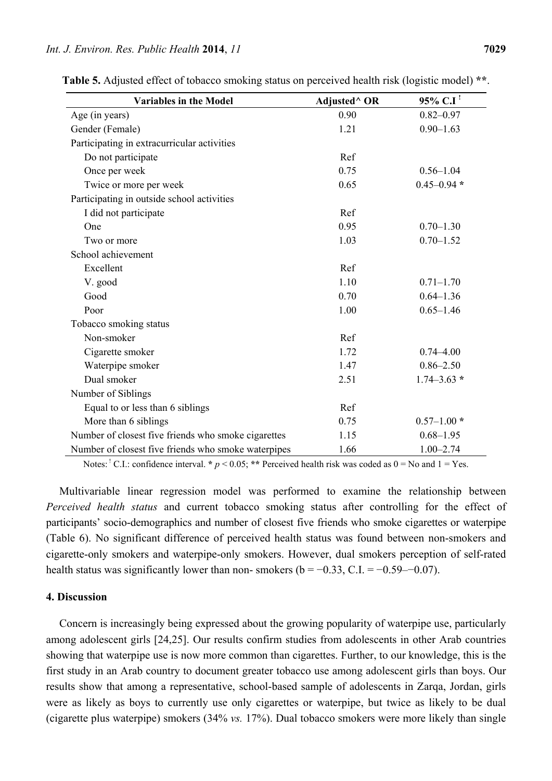| <b>Variables in the Model</b>                       | Adjusted <sup>^</sup> OR | $95\%$ C.I <sup>!</sup> |
|-----------------------------------------------------|--------------------------|-------------------------|
| Age (in years)                                      | 0.90                     | $0.82 - 0.97$           |
| Gender (Female)                                     | 1.21                     | $0.90 - 1.63$           |
| Participating in extracurricular activities         |                          |                         |
| Do not participate                                  | Ref                      |                         |
| Once per week                                       | 0.75                     | $0.56 - 1.04$           |
| Twice or more per week                              | 0.65                     | $0.45 - 0.94*$          |
| Participating in outside school activities          |                          |                         |
| I did not participate                               | Ref                      |                         |
| One                                                 | 0.95                     | $0.70 - 1.30$           |
| Two or more                                         | 1.03                     | $0.70 - 1.52$           |
| School achievement                                  |                          |                         |
| Excellent                                           | Ref                      |                         |
| V. good                                             | 1.10                     | $0.71 - 1.70$           |
| Good                                                | 0.70                     | $0.64 - 1.36$           |
| Poor                                                | 1.00                     | $0.65 - 1.46$           |
| Tobacco smoking status                              |                          |                         |
| Non-smoker                                          | Ref                      |                         |
| Cigarette smoker                                    | 1.72                     | $0.74 - 4.00$           |
| Waterpipe smoker                                    | 1.47                     | $0.86 - 2.50$           |
| Dual smoker                                         | 2.51                     | $1.74 - 3.63$ *         |
| Number of Siblings                                  |                          |                         |
| Equal to or less than 6 siblings                    | Ref                      |                         |
| More than 6 siblings                                | 0.75                     | $0.57 - 1.00*$          |
| Number of closest five friends who smoke cigarettes | 1.15                     | $0.68 - 1.95$           |
| Number of closest five friends who smoke waterpipes | 1.66                     | $1.00 - 2.74$           |

**Table 5.** Adjusted effect of tobacco smoking status on perceived health risk (logistic model) **\*\***.

Notes: <sup>1</sup> C.I.: confidence interval. **\***  $p < 0.05$ ; **\*\*** Perceived health risk was coded as  $0 =$  No and  $1 =$  Yes.

Multivariable linear regression model was performed to examine the relationship between *Perceived health status* and current tobacco smoking status after controlling for the effect of participants' socio-demographics and number of closest five friends who smoke cigarettes or waterpipe (Table 6). No significant difference of perceived health status was found between non-smokers and cigarette-only smokers and waterpipe-only smokers. However, dual smokers perception of self-rated health status was significantly lower than non- smokers ( $b = -0.33$ , C.I. =  $-0.59$ – $-0.07$ ).

#### **4. Discussion**

Concern is increasingly being expressed about the growing popularity of waterpipe use, particularly among adolescent girls [24,25]. Our results confirm studies from adolescents in other Arab countries showing that waterpipe use is now more common than cigarettes. Further, to our knowledge, this is the first study in an Arab country to document greater tobacco use among adolescent girls than boys. Our results show that among a representative, school-based sample of adolescents in Zarqa, Jordan, girls were as likely as boys to currently use only cigarettes or waterpipe, but twice as likely to be dual (cigarette plus waterpipe) smokers (34% *vs.* 17%). Dual tobacco smokers were more likely than single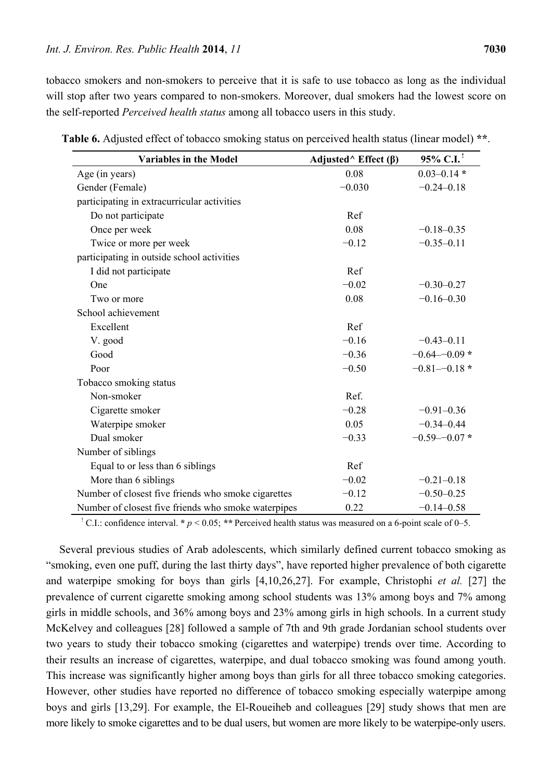tobacco smokers and non-smokers to perceive that it is safe to use tobacco as long as the individual will stop after two years compared to non-smokers. Moreover, dual smokers had the lowest score on the self-reported *Perceived health status* among all tobacco users in this study.

| <b>Variables in the Model</b>                       | Adjusted <sup><math>\wedge</math></sup> Effect ( $\beta$ ) | 95% C.I. <sup>1</sup> |
|-----------------------------------------------------|------------------------------------------------------------|-----------------------|
| Age (in years)                                      | 0.08                                                       | $0.03 - 0.14$ *       |
| Gender (Female)                                     | $-0.030$                                                   | $-0.24 - 0.18$        |
| participating in extracurricular activities         |                                                            |                       |
| Do not participate                                  | Ref                                                        |                       |
| Once per week                                       | 0.08                                                       | $-0.18 - 0.35$        |
| Twice or more per week                              | $-0.12$                                                    | $-0.35 - 0.11$        |
| participating in outside school activities          |                                                            |                       |
| I did not participate                               | Ref                                                        |                       |
| One                                                 | $-0.02$                                                    | $-0.30 - 0.27$        |
| Two or more                                         | 0.08                                                       | $-0.16 - 0.30$        |
| School achievement                                  |                                                            |                       |
| Excellent                                           | Ref                                                        |                       |
| V. good                                             | $-0.16$                                                    | $-0.43 - 0.11$        |
| Good                                                | $-0.36$                                                    | $-0.64 - 0.09$ *      |
| Poor                                                | $-0.50$                                                    | $-0.81 - -0.18$ *     |
| Tobacco smoking status                              |                                                            |                       |
| Non-smoker                                          | Ref.                                                       |                       |
| Cigarette smoker                                    | $-0.28$                                                    | $-0.91 - 0.36$        |
| Waterpipe smoker                                    | 0.05                                                       | $-0.34 - 0.44$        |
| Dual smoker                                         | $-0.33$                                                    | $-0.59 - -0.07$ *     |
| Number of siblings                                  |                                                            |                       |
| Equal to or less than 6 siblings                    | Ref                                                        |                       |
| More than 6 siblings                                | $-0.02$                                                    | $-0.21 - 0.18$        |
| Number of closest five friends who smoke cigarettes | $-0.12$                                                    | $-0.50 - 0.25$        |
| Number of closest five friends who smoke waterpipes | 0.22                                                       | $-0.14 - 0.58$        |

**Table 6.** Adjusted effect of tobacco smoking status on perceived health status (linear model) **\*\***.

<sup>1</sup> C.I.: confidence interval.  $* p < 0.05$ ; \*\* Perceived health status was measured on a 6-point scale of 0–5.

Several previous studies of Arab adolescents, which similarly defined current tobacco smoking as "smoking, even one puff, during the last thirty days", have reported higher prevalence of both cigarette and waterpipe smoking for boys than girls [4,10,26,27]. For example, Christophi *et al.* [27] the prevalence of current cigarette smoking among school students was 13% among boys and 7% among girls in middle schools, and 36% among boys and 23% among girls in high schools. In a current study McKelvey and colleagues [28] followed a sample of 7th and 9th grade Jordanian school students over two years to study their tobacco smoking (cigarettes and waterpipe) trends over time. According to their results an increase of cigarettes, waterpipe, and dual tobacco smoking was found among youth. This increase was significantly higher among boys than girls for all three tobacco smoking categories. However, other studies have reported no difference of tobacco smoking especially waterpipe among boys and girls [13,29]. For example, the El-Roueiheb and colleagues [29] study shows that men are more likely to smoke cigarettes and to be dual users, but women are more likely to be waterpipe-only users.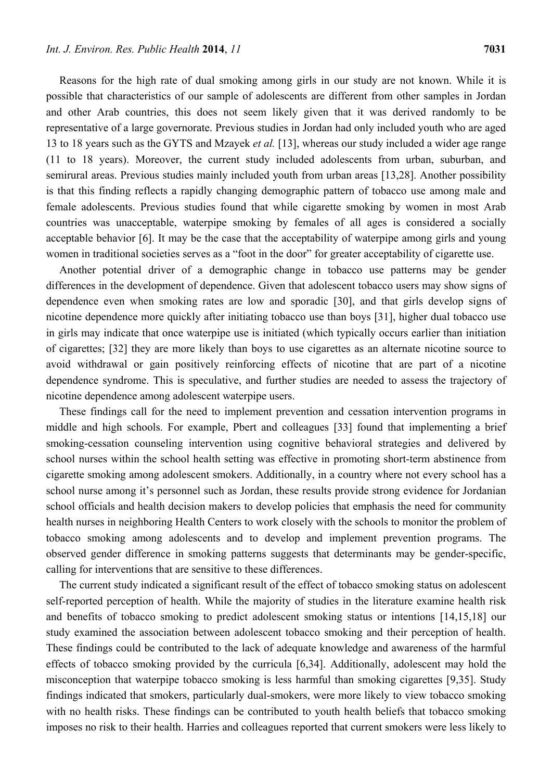Reasons for the high rate of dual smoking among girls in our study are not known. While it is possible that characteristics of our sample of adolescents are different from other samples in Jordan and other Arab countries, this does not seem likely given that it was derived randomly to be representative of a large governorate. Previous studies in Jordan had only included youth who are aged 13 to 18 years such as the GYTS and Mzayek *et al.* [13], whereas our study included a wider age range (11 to 18 years). Moreover, the current study included adolescents from urban, suburban, and semirural areas. Previous studies mainly included youth from urban areas [13,28]. Another possibility is that this finding reflects a rapidly changing demographic pattern of tobacco use among male and female adolescents. Previous studies found that while cigarette smoking by women in most Arab countries was unacceptable, waterpipe smoking by females of all ages is considered a socially acceptable behavior [6]. It may be the case that the acceptability of waterpipe among girls and young women in traditional societies serves as a "foot in the door" for greater acceptability of cigarette use.

Another potential driver of a demographic change in tobacco use patterns may be gender differences in the development of dependence. Given that adolescent tobacco users may show signs of dependence even when smoking rates are low and sporadic [30], and that girls develop signs of nicotine dependence more quickly after initiating tobacco use than boys [31], higher dual tobacco use in girls may indicate that once waterpipe use is initiated (which typically occurs earlier than initiation of cigarettes; [32] they are more likely than boys to use cigarettes as an alternate nicotine source to avoid withdrawal or gain positively reinforcing effects of nicotine that are part of a nicotine dependence syndrome. This is speculative, and further studies are needed to assess the trajectory of nicotine dependence among adolescent waterpipe users.

These findings call for the need to implement prevention and cessation intervention programs in middle and high schools. For example, Pbert and colleagues [33] found that implementing a brief smoking-cessation counseling intervention using cognitive behavioral strategies and delivered by school nurses within the school health setting was effective in promoting short-term abstinence from cigarette smoking among adolescent smokers. Additionally, in a country where not every school has a school nurse among it's personnel such as Jordan, these results provide strong evidence for Jordanian school officials and health decision makers to develop policies that emphasis the need for community health nurses in neighboring Health Centers to work closely with the schools to monitor the problem of tobacco smoking among adolescents and to develop and implement prevention programs. The observed gender difference in smoking patterns suggests that determinants may be gender-specific, calling for interventions that are sensitive to these differences.

The current study indicated a significant result of the effect of tobacco smoking status on adolescent self-reported perception of health. While the majority of studies in the literature examine health risk and benefits of tobacco smoking to predict adolescent smoking status or intentions [14,15,18] our study examined the association between adolescent tobacco smoking and their perception of health. These findings could be contributed to the lack of adequate knowledge and awareness of the harmful effects of tobacco smoking provided by the curricula [6,34]. Additionally, adolescent may hold the misconception that waterpipe tobacco smoking is less harmful than smoking cigarettes [9,35]. Study findings indicated that smokers, particularly dual-smokers, were more likely to view tobacco smoking with no health risks. These findings can be contributed to youth health beliefs that tobacco smoking imposes no risk to their health. Harries and colleagues reported that current smokers were less likely to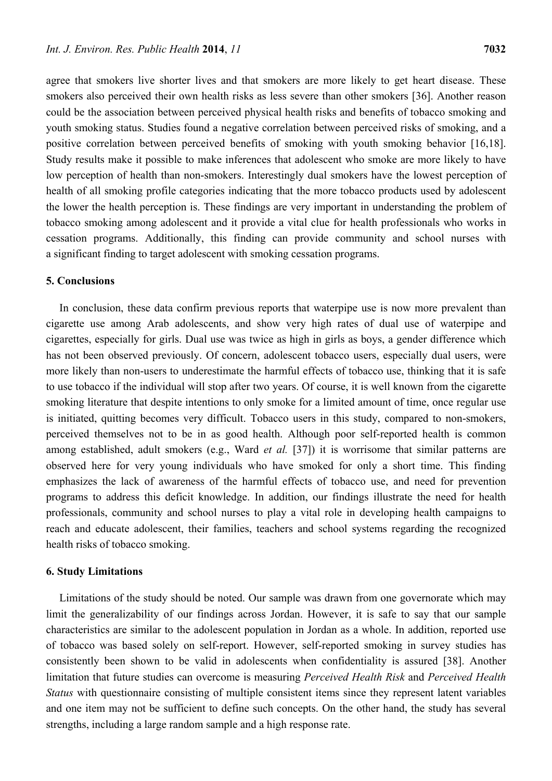agree that smokers live shorter lives and that smokers are more likely to get heart disease. These smokers also perceived their own health risks as less severe than other smokers [36]. Another reason could be the association between perceived physical health risks and benefits of tobacco smoking and youth smoking status. Studies found a negative correlation between perceived risks of smoking, and a positive correlation between perceived benefits of smoking with youth smoking behavior [16,18]. Study results make it possible to make inferences that adolescent who smoke are more likely to have low perception of health than non-smokers. Interestingly dual smokers have the lowest perception of health of all smoking profile categories indicating that the more tobacco products used by adolescent the lower the health perception is. These findings are very important in understanding the problem of tobacco smoking among adolescent and it provide a vital clue for health professionals who works in cessation programs. Additionally, this finding can provide community and school nurses with a significant finding to target adolescent with smoking cessation programs.

# **5. Conclusions**

In conclusion, these data confirm previous reports that waterpipe use is now more prevalent than cigarette use among Arab adolescents, and show very high rates of dual use of waterpipe and cigarettes, especially for girls. Dual use was twice as high in girls as boys, a gender difference which has not been observed previously. Of concern, adolescent tobacco users, especially dual users, were more likely than non-users to underestimate the harmful effects of tobacco use, thinking that it is safe to use tobacco if the individual will stop after two years. Of course, it is well known from the cigarette smoking literature that despite intentions to only smoke for a limited amount of time, once regular use is initiated, quitting becomes very difficult. Tobacco users in this study, compared to non-smokers, perceived themselves not to be in as good health. Although poor self-reported health is common among established, adult smokers (e.g., Ward *et al.* [37]) it is worrisome that similar patterns are observed here for very young individuals who have smoked for only a short time. This finding emphasizes the lack of awareness of the harmful effects of tobacco use, and need for prevention programs to address this deficit knowledge. In addition, our findings illustrate the need for health professionals, community and school nurses to play a vital role in developing health campaigns to reach and educate adolescent, their families, teachers and school systems regarding the recognized health risks of tobacco smoking.

#### **6. Study Limitations**

Limitations of the study should be noted. Our sample was drawn from one governorate which may limit the generalizability of our findings across Jordan. However, it is safe to say that our sample characteristics are similar to the adolescent population in Jordan as a whole. In addition, reported use of tobacco was based solely on self-report. However, self-reported smoking in survey studies has consistently been shown to be valid in adolescents when confidentiality is assured [38]. Another limitation that future studies can overcome is measuring *Perceived Health Risk* and *Perceived Health Status* with questionnaire consisting of multiple consistent items since they represent latent variables and one item may not be sufficient to define such concepts. On the other hand, the study has several strengths, including a large random sample and a high response rate.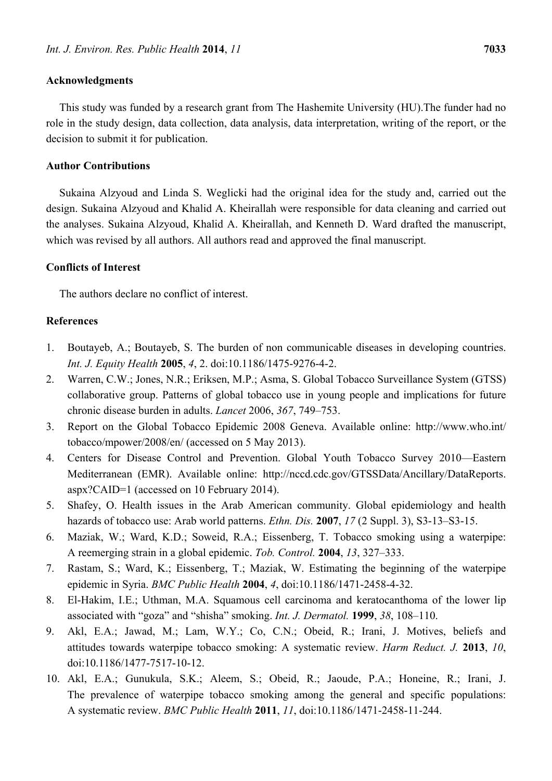## **Acknowledgments**

This study was funded by a research grant from The Hashemite University (HU).The funder had no role in the study design, data collection, data analysis, data interpretation, writing of the report, or the decision to submit it for publication.

#### **Author Contributions**

Sukaina Alzyoud and Linda S. Weglicki had the original idea for the study and, carried out the design. Sukaina Alzyoud and Khalid A. Kheirallah were responsible for data cleaning and carried out the analyses. Sukaina Alzyoud, Khalid A. Kheirallah, and Kenneth D. Ward drafted the manuscript, which was revised by all authors. All authors read and approved the final manuscript.

## **Conflicts of Interest**

The authors declare no conflict of interest.

# **References**

- 1. Boutayeb, A.; Boutayeb, S. The burden of non communicable diseases in developing countries. *Int. J. Equity Health* **2005**, *4*, 2. doi:10.1186/1475-9276-4-2.
- 2. Warren, C.W.; Jones, N.R.; Eriksen, M.P.; Asma, S. Global Tobacco Surveillance System (GTSS) collaborative group. Patterns of global tobacco use in young people and implications for future chronic disease burden in adults. *Lancet* 2006, *367*, 749–753.
- 3. Report on the Global Tobacco Epidemic 2008 Geneva. Available online: http://www.who.int/ tobacco/mpower/2008/en/ (accessed on 5 May 2013).
- 4. Centers for Disease Control and Prevention. Global Youth Tobacco Survey 2010—Eastern Mediterranean (EMR). Available online: http://nccd.cdc.gov/GTSSData/Ancillary/DataReports. aspx?CAID=1 (accessed on 10 February 2014).
- 5. Shafey, O. Health issues in the Arab American community. Global epidemiology and health hazards of tobacco use: Arab world patterns. *Ethn. Dis.* **2007**, *17* (2 Suppl. 3), S3-13–S3-15.
- 6. Maziak, W.; Ward, K.D.; Soweid, R.A.; Eissenberg, T. Tobacco smoking using a waterpipe: A reemerging strain in a global epidemic. *Tob. Control.* **2004**, *13*, 327–333.
- 7. Rastam, S.; Ward, K.; Eissenberg, T.; Maziak, W. Estimating the beginning of the waterpipe epidemic in Syria. *BMC Public Health* **2004**, *4*, doi:10.1186/1471-2458-4-32.
- 8. El-Hakim, I.E.; Uthman, M.A. Squamous cell carcinoma and keratocanthoma of the lower lip associated with "goza" and "shisha" smoking. *Int. J. Dermatol.* **1999**, *38*, 108–110.
- 9. Akl, E.A.; Jawad, M.; Lam, W.Y.; Co, C.N.; Obeid, R.; Irani, J. Motives, beliefs and attitudes towards waterpipe tobacco smoking: A systematic review. *Harm Reduct. J.* **2013**, *10*, doi:10.1186/1477-7517-10-12.
- 10. Akl, E.A.; Gunukula, S.K.; Aleem, S.; Obeid, R.; Jaoude, P.A.; Honeine, R.; Irani, J. The prevalence of waterpipe tobacco smoking among the general and specific populations: A systematic review. *BMC Public Health* **2011**, *11*, doi:10.1186/1471-2458-11-244.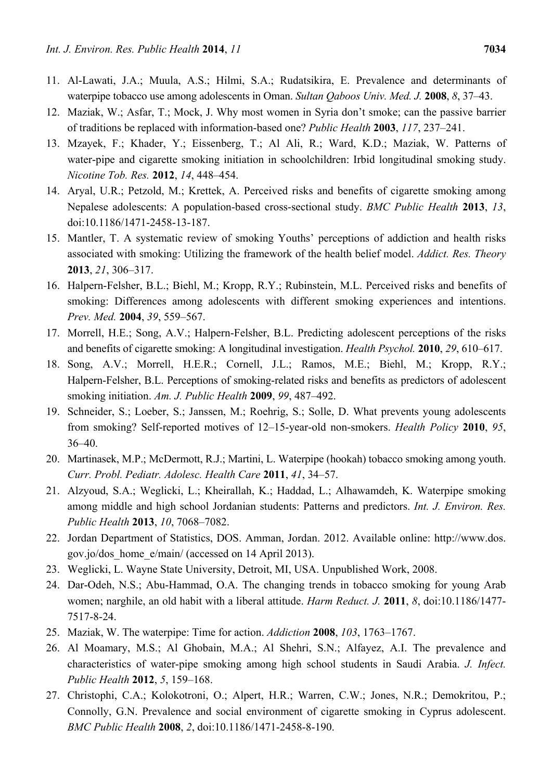- 11. Al-Lawati, J.A.; Muula, A.S.; Hilmi, S.A.; Rudatsikira, E. Prevalence and determinants of waterpipe tobacco use among adolescents in Oman. *Sultan Qaboos Univ. Med. J.* **2008**, *8*, 37–43.
- 12. Maziak, W.; Asfar, T.; Mock, J. Why most women in Syria don't smoke; can the passive barrier of traditions be replaced with information-based one? *Public Health* **2003**, *117*, 237–241.
- 13. Mzayek, F.; Khader, Y.; Eissenberg, T.; Al Ali, R.; Ward, K.D.; Maziak, W. Patterns of water-pipe and cigarette smoking initiation in schoolchildren: Irbid longitudinal smoking study. *Nicotine Tob. Res.* **2012**, *14*, 448–454.
- 14. Aryal, U.R.; Petzold, M.; Krettek, A. Perceived risks and benefits of cigarette smoking among Nepalese adolescents: A population-based cross-sectional study. *BMC Public Health* **2013**, *13*, doi:10.1186/1471-2458-13-187.
- 15. Mantler, T. A systematic review of smoking Youths' perceptions of addiction and health risks associated with smoking: Utilizing the framework of the health belief model. *Addict. Res. Theory* **2013**, *21*, 306–317.
- 16. Halpern-Felsher, B.L.; Biehl, M.; Kropp, R.Y.; Rubinstein, M.L. Perceived risks and benefits of smoking: Differences among adolescents with different smoking experiences and intentions. *Prev. Med.* **2004**, *39*, 559–567.
- 17. Morrell, H.E.; Song, A.V.; Halpern-Felsher, B.L. Predicting adolescent perceptions of the risks and benefits of cigarette smoking: A longitudinal investigation. *Health Psychol.* **2010**, *29*, 610–617.
- 18. Song, A.V.; Morrell, H.E.R.; Cornell, J.L.; Ramos, M.E.; Biehl, M.; Kropp, R.Y.; Halpern-Felsher, B.L. Perceptions of smoking-related risks and benefits as predictors of adolescent smoking initiation. *Am. J. Public Health* **2009**, *99*, 487–492.
- 19. Schneider, S.; Loeber, S.; Janssen, M.; Roehrig, S.; Solle, D. What prevents young adolescents from smoking? Self-reported motives of 12–15-year-old non-smokers. *Health Policy* **2010**, *95*, 36–40.
- 20. Martinasek, M.P.; McDermott, R.J.; Martini, L. Waterpipe (hookah) tobacco smoking among youth. *Curr. Probl. Pediatr. Adolesc. Health Care* **2011**, *41*, 34–57.
- 21. Alzyoud, S.A.; Weglicki, L.; Kheirallah, K.; Haddad, L.; Alhawamdeh, K. Waterpipe smoking among middle and high school Jordanian students: Patterns and predictors. *Int. J. Environ. Res. Public Health* **2013**, *10*, 7068–7082.
- 22. Jordan Department of Statistics, DOS. Amman, Jordan. 2012. Available online: http://www.dos. gov.jo/dos\_home\_e/main/ (accessed on 14 April 2013).
- 23. Weglicki, L. Wayne State University, Detroit, MI, USA. Unpublished Work, 2008.
- 24. Dar-Odeh, N.S.; Abu-Hammad, O.A. The changing trends in tobacco smoking for young Arab women; narghile, an old habit with a liberal attitude. *Harm Reduct. J.* **2011**, *8*, doi:10.1186/1477- 7517-8-24.
- 25. Maziak, W. The waterpipe: Time for action. *Addiction* **2008**, *103*, 1763–1767.
- 26. Al Moamary, M.S.; Al Ghobain, M.A.; Al Shehri, S.N.; Alfayez, A.I. The prevalence and characteristics of water-pipe smoking among high school students in Saudi Arabia. *J. Infect. Public Health* **2012**, *5*, 159–168.
- 27. Christophi, C.A.; Kolokotroni, O.; Alpert, H.R.; Warren, C.W.; Jones, N.R.; Demokritou, P.; Connolly, G.N. Prevalence and social environment of cigarette smoking in Cyprus adolescent. *BMC Public Health* **2008**, *2*, doi:10.1186/1471-2458-8-190.